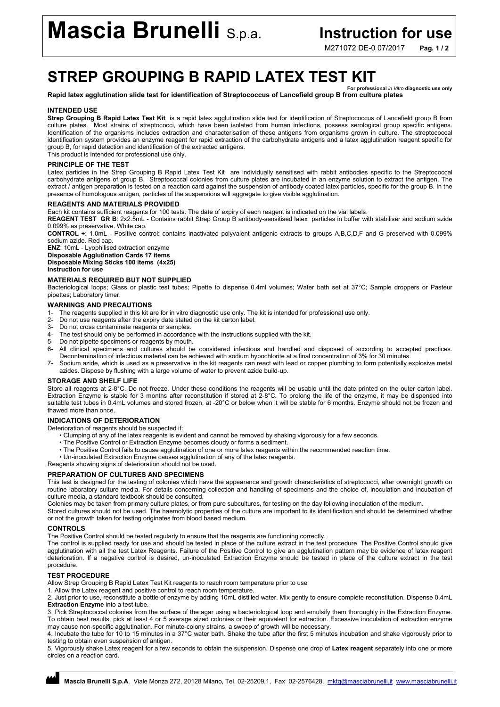# Mascia Brunelli S.p.a. Instruction for use

M271072 DE-0 07/2017 Pag. 1/2

## STREP GROUPING B RAPID LATEX TEST KIT For professional *in Vitro* diagnostic use only

## Rapid latex agglutination slide test for identification of Streptococcus of Lancefield group B from culture plates

## INTENDED USE

Strep Grouping B Rapid Latex Test Kit is a rapid latex agglutination slide test for identification of Streptococcus of Lancefield group B from culture plates. Most strains of streptococci, which have been isolated from human infections, possess serological group specific antigens. Identification of the organisms includes extraction and characterisation of these antigens from organisms grown in culture. The streptococcal identification system provides an enzyme reagent for rapid extraction of the carbohydrate antigens and a latex agglutination reagent specific for group B, for rapid detection and identification of the extracted antigens.

This product is intended for professional use only.

## PRINCIPLE OF THE TEST

Latex particles in the Strep Grouping B Rapid Latex Test Kit are individually sensitised with rabbit antibodies specific to the Streptococcal carbohydrate antigens of group B. Streptococcal colonies from culture plates are incubated in an enzyme solution to extract the antigen. The extract / antigen preparation is tested on a reaction card against the suspension of antibody coated latex particles, specific for the group B. In the presence of homologous antigen, particles of the suspensions will aggregate to give visible agglutination.

## REAGENTS AND MATERIALS PROVIDED

Each kit contains sufficient reagents for 100 tests. The date of expiry of each reagent is indicated on the vial labels.

REAGENT TEST GR B: 2x2.5mL - Contains rabbit Strep Group B antibody-sensitised latex particles in buffer with stabiliser and sodium azide 0.099% as preservative. White cap.

CONTROL +: 1.0mL - Positive control: contains inactivated polyvalent antigenic extracts to groups A,B,C,D,F and G preserved with 0.099% sodium azide. Red cap.

ENZ: 10mL - Lyophilised extraction enzyme Disposable Agglutination Cards 17 items Disposable Mixing Sticks 100 items (4x25)

Instruction for use

## MATERIALS REQUIRED BUT NOT SUPPLIED

Bacteriological loops; Glass or plastic test tubes; Pipette to dispense 0.4ml volumes; Water bath set at 37°C; Sample droppers or Pasteur pipettes; Laboratory timer.

## WARNINGS AND PRECAUTIONS

- 1- The reagents supplied in this kit are for in vitro diagnostic use only. The kit is intended for professional use only.
- 2- Do not use reagents after the expiry date stated on the kit carton label.
- 3- Do not cross contaminate reagents or samples.<br>4- The test should only be performed in accordance
- The test should only be performed in accordance with the instructions supplied with the kit.
- 5- Do not pipette specimens or reagents by mouth.
- 6- All clinical specimens and cultures should be considered infectious and handled and disposed of according to accepted practices.
- Decontamination of infectious material can be achieved with sodium hypochlorite at a final concentration of 3% for 30 minutes.
- 7- Sodium azide, which is used as a preservative in the kit reagents can react with lead or copper plumbing to form potentially explosive metal azides. Dispose by flushing with a large volume of water to prevent azide build-up.

## STORAGE AND SHELF LIFE

Store all reagents at 2-8°C. Do not freeze. Under these conditions the reagents will be usable until the date printed on the outer carton label. Extraction Enzyme is stable for 3 months after reconstitution if stored at 2-8°C. To prolong the life of the enzyme, it may be dispensed into suitable test tubes in 0.4mL volumes and stored frozen, at -20°C or below when it will be stable for 6 months. Enzyme should not be frozen and thawed more than once.

## INDICATIONS OF DETERIORATION

Deterioration of reagents should be suspected if:

- Clumping of any of the latex reagents is evident and cannot be removed by shaking vigorously for a few seconds.
- The Positive Control or Extraction Enzyme becomes cloudy or forms a sediment.
- The Positive Control fails to cause agglutination of one or more latex reagents within the recommended reaction time.
- Un-inoculated Extraction Enzyme causes agglutination of any of the latex reagents.

Reagents showing signs of deterioration should not be used.

## PREPARATION OF CULTURES AND SPECIMENS

This test is designed for the testing of colonies which have the appearance and growth characteristics of streptococci, after overnight growth on routine laboratory culture media. For details concerning collection and handling of specimens and the choice of, inoculation and incubation of culture media, a standard textbook should be consulted.

Colonies may be taken from primary culture plates, or from pure subcultures, for testing on the day following inoculation of the medium.

Stored cultures should not be used. The haemolytic properties of the culture are important to its identification and should be determined whether or not the growth taken for testing originates from blood based medium.

## CONTROLS

The Positive Control should be tested regularly to ensure that the reagents are functioning correctly.

The control is supplied ready for use and should be tested in place of the culture extract in the test procedure. The Positive Control should give agglutination with all the test Latex Reagents. Failure of the Positive Control to give an agglutination pattern may be evidence of latex reagent deterioration. If a negative control is desired, un-inoculated Extraction Enzyme should be tested in place of the culture extract in the test procedure.

## TEST PROCEDURE

Allow Strep Grouping B Rapid Latex Test Kit reagents to reach room temperature prior to use

1. Allow the Latex reagent and positive control to reach room temperature.

2. Just prior to use, reconstitute a bottle of enzyme by adding 10mL distilled water. Mix gently to ensure complete reconstitution. Dispense 0.4mL Extraction Enzyme into a test tube.

3. Pick Streptococcal colonies from the surface of the agar using a bacteriological loop and emulsify them thoroughly in the Extraction Enzyme. To obtain best results, pick at least 4 or 5 average sized colonies or their equivalent for extraction. Excessive inoculation of extraction enzyme may cause non-specific agglutination. For minute-colony strains, a sweep of growth will be necessary.

4. Incubate the tube for 10 to 15 minutes in a 37°C water bath. Shake the tube after the first 5 minutes incubation and shake vigorously prior to testing to obtain even suspension of antigen.

5. Vigorously shake Latex reagent for a few seconds to obtain the suspension. Dispense one drop of Latex reagent separately into one or more circles on a reaction card.